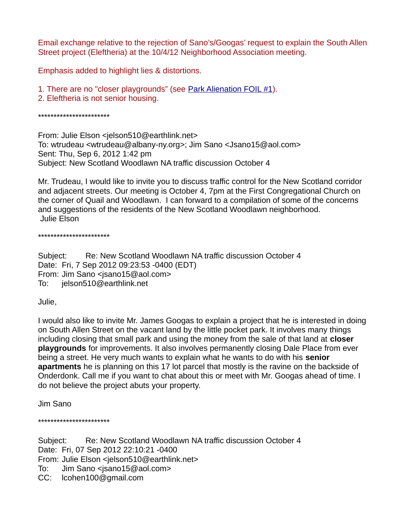Email exchange relative to the rejection of Sano's/Googas' request to explain the South Allen Street project (Eleftheria) at the 10/4/12 Neighborhood Association meeting.

Emphasis added to highlight lies & distortions.

- 1. There are no "closer playgrounds" (see [Park Alienation FOIL #1\)](http://michael-kalin.net/south-allen-outrage/documents/misrepresentation/NYSOPRHP-FOIL-142-15.pdf).
- 2. Eleftheria is not senior housing.

## \*\*\*\*\*\*\*\*\*\*\*\*\*\*\*\*\*\*\*\*\*\*\*

From: Julie Elson <jelson510@earthlink.net> To: wtrudeau <wtrudeau@albany-ny.org>; Jim Sano <Jsano15@aol.com> Sent: Thu, Sep 6, 2012 1:42 pm Subject: New Scotland Woodlawn NA traffic discussion October 4

Mr. Trudeau, I would like to invite you to discuss traffic control for the New Scotland corridor and adjacent streets. Our meeting is October 4, 7pm at the First Congregational Church on the corner of Quail and Woodlawn. I can forward to a compilation of some of the concerns and suggestions of the residents of the New Scotland Woodlawn neighborhood. Julie Elson

\*\*\*\*\*\*\*\*\*\*\*\*\*\*\*\*\*\*\*\*\*\*\*

Subject: Re: New Scotland Woodlawn NA traffic discussion October 4 Date: Fri, 7 Sep 2012 09:23:53 -0400 (EDT) From: Jim Sano <jsano15@aol.com> To: jelson510@earthlink.net

Julie,

I would also like to invite Mr. James Googas to explain a project that he is interested in doing on South Allen Street on the vacant land by the little pocket park. It involves many things including closing that small park and using the money from the sale of that land at **closer playgrounds** for improvements. It also involves permanently closing Dale Place from ever being a street. He very much wants to explain what he wants to do with his **senior apartments** he is planning on this 17 lot parcel that mostly is the ravine on the backside of Onderdonk. Call me if you want to chat about this or meet with Mr. Googas ahead of time. I do not believe the project abuts your property.

Jim Sano

\*\*\*\*\*\*\*\*\*\*\*\*\*\*\*\*\*\*\*\*\*\*\*

Subject: Re: New Scotland Woodlawn NA traffic discussion October 4 Date: Fri, 07 Sep 2012 22:10:21 -0400 From: Julie Elson <jelson510@earthlink.net> To: Jim Sano <jsano15@aol.com> CC: lcohen100@gmail.com